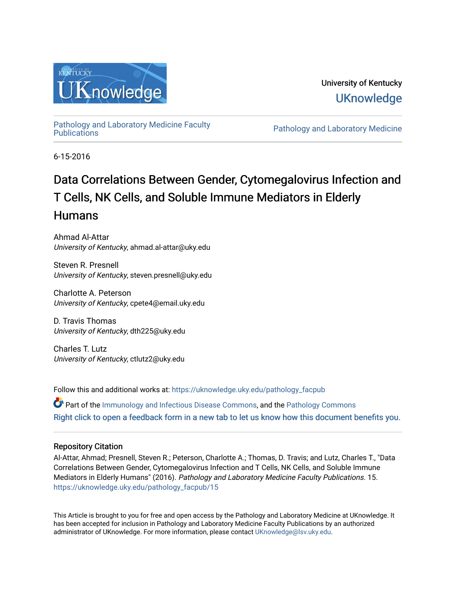

# University of Kentucky **UKnowledge**

[Pathology and Laboratory Medicine Faculty](https://uknowledge.uky.edu/pathology_facpub) 

Pathology and Laboratory Medicine

6-15-2016

# Data Correlations Between Gender, Cytomegalovirus Infection and T Cells, NK Cells, and Soluble Immune Mediators in Elderly Humans

Ahmad Al-Attar University of Kentucky, ahmad.al-attar@uky.edu

Steven R. Presnell University of Kentucky, steven.presnell@uky.edu

Charlotte A. Peterson University of Kentucky, cpete4@email.uky.edu

D. Travis Thomas University of Kentucky, dth225@uky.edu

Charles T. Lutz University of Kentucky, ctlutz2@uky.edu

Follow this and additional works at: [https://uknowledge.uky.edu/pathology\\_facpub](https://uknowledge.uky.edu/pathology_facpub?utm_source=uknowledge.uky.edu%2Fpathology_facpub%2F15&utm_medium=PDF&utm_campaign=PDFCoverPages) 

Part of the [Immunology and Infectious Disease Commons,](http://network.bepress.com/hgg/discipline/33?utm_source=uknowledge.uky.edu%2Fpathology_facpub%2F15&utm_medium=PDF&utm_campaign=PDFCoverPages) and the [Pathology Commons](http://network.bepress.com/hgg/discipline/699?utm_source=uknowledge.uky.edu%2Fpathology_facpub%2F15&utm_medium=PDF&utm_campaign=PDFCoverPages) [Right click to open a feedback form in a new tab to let us know how this document benefits you.](https://uky.az1.qualtrics.com/jfe/form/SV_9mq8fx2GnONRfz7)

### Repository Citation

Al-Attar, Ahmad; Presnell, Steven R.; Peterson, Charlotte A.; Thomas, D. Travis; and Lutz, Charles T., "Data Correlations Between Gender, Cytomegalovirus Infection and T Cells, NK Cells, and Soluble Immune Mediators in Elderly Humans" (2016). Pathology and Laboratory Medicine Faculty Publications. 15. [https://uknowledge.uky.edu/pathology\\_facpub/15](https://uknowledge.uky.edu/pathology_facpub/15?utm_source=uknowledge.uky.edu%2Fpathology_facpub%2F15&utm_medium=PDF&utm_campaign=PDFCoverPages)

This Article is brought to you for free and open access by the Pathology and Laboratory Medicine at UKnowledge. It has been accepted for inclusion in Pathology and Laboratory Medicine Faculty Publications by an authorized administrator of UKnowledge. For more information, please contact [UKnowledge@lsv.uky.edu](mailto:UKnowledge@lsv.uky.edu).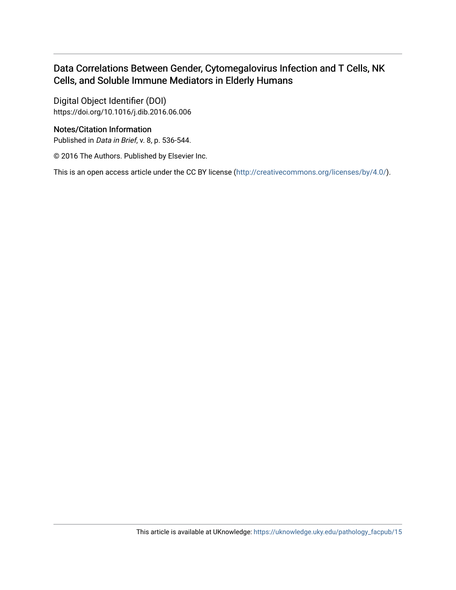### Data Correlations Between Gender, Cytomegalovirus Infection and T Cells, NK Cells, and Soluble Immune Mediators in Elderly Humans

Digital Object Identifier (DOI) https://doi.org/10.1016/j.dib.2016.06.006

### Notes/Citation Information

Published in Data in Brief, v. 8, p. 536-544.

© 2016 The Authors. Published by Elsevier Inc.

This is an open access article under the CC BY license [\(http://creativecommons.org/licenses/by/4.0/\)](https://creativecommons.org/licenses/by/4.0/).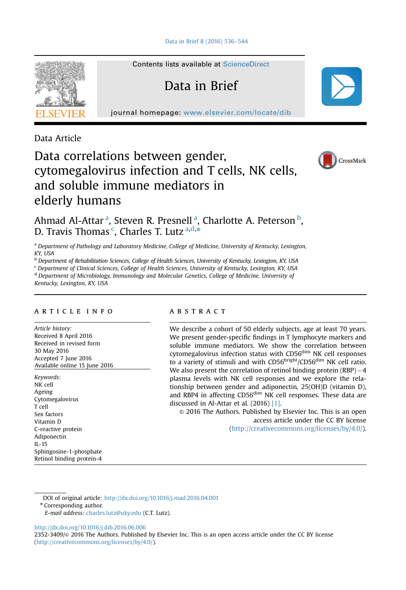

Contents lists available at [ScienceDirect](www.sciencedirect.com/science/journal/23523409)

Data in Brief

journal homepage: <www.elsevier.com/locate/dib>

Data Article

## Data correlations between gender, cytomegalovirus infection and T cells, NK cells, and soluble immune mediators in elderly humans



Ahmad Al-Attar<sup>a</sup>, Steven R. Presnell<sup>a</sup>, Charlotte A. Peterson <sup>b</sup>, D. Travis Thomas<sup>c</sup>, Charles T. Lutz<sup>a,d,\*</sup>

<sup>a</sup> Department of Pathology and Laboratory Medicine, College of Medicine, University of Kentucky, Lexington, KY, USA

**b Department of Rehabilitation Sciences, College of Health Sciences, University of Kentucky, Lexington, KY, USA** 

<sup>c</sup> Department of Clinical Sciences, College of Health Sciences, University of Kentucky, Lexington, KY, USA

<sup>d</sup> Department of Microbiology, Immunology and Molecular Genetics, College of Medicine, University of

Kentucky, Lexington, KY, USA

#### article info

Article history: Received 8 April 2016 Received in revised form 30 May 2016 Accepted 7 June 2016 Available online 15 June 2016

Keywords: NK cell Ageing Cytomegalovirus T cell Sex factors Vitamin D C-reactive protein Adiponectin IL-15 Sphingosine-1-phosphate Retinol binding protein-4

#### **ARSTRACT**

We describe a cohort of 50 elderly subjects, age at least 70 years. We present gender-specific findings in T lymphocyte markers and soluble immune mediators. We show the correlation between cytomegalovirus infection status with CD56<sup>dim</sup> NK cell responses to a variety of stimuli and with CD56<sup>bright</sup>/CD56<sup>dim</sup> NK cell ratio. We also present the correlation of retinol binding protein  $(RBP) - 4$ plasma levels with NK cell responses and we explore the relationship between gender and adiponectin, 25(OH)D (vitamin D), and RBP4 in affecting CD56<sup>dim</sup> NK cell responses. These data are discussed in Al-Attar et al. (2016) [\[1\].](#page-10-0)

 $\degree$  2016 The Authors. Published by Elsevier Inc. This is an open access article under the CC BY license (http://creativecommons.org/licenses/by/4.0/).

DOI of original article: http://dx.doi.org/10.1016/j.mad.2016.04.001

\* Corresponding author.

<http://dx.doi.org/10.1016/j.dib.2016.06.006>

2352-3409/ $\circ$  2016 The Authors. Published by Elsevier Inc. This is an open access article under the CC BY license (http://creativecommons.org/licenses/by/4.0/).

E-mail address: [charles.lutz@uky.edu](mailto:charles.lutz@uky.edu) (C.T. Lutz).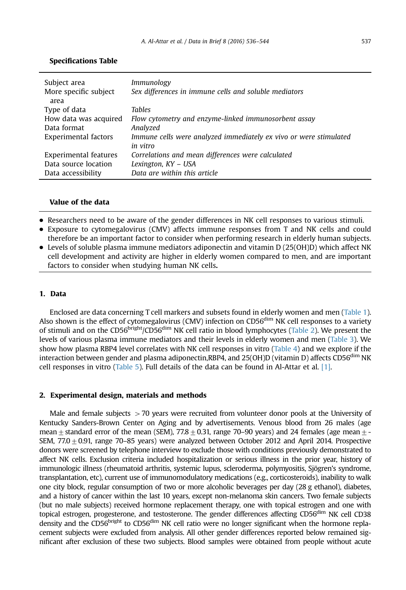| Subject area<br>More specific subject | Immunology<br>Sex differences in immune cells and soluble mediators           |
|---------------------------------------|-------------------------------------------------------------------------------|
| area                                  |                                                                               |
| Type of data                          | <b>Tables</b>                                                                 |
| How data was acquired                 | Flow cytometry and enzyme-linked immunosorbent assay                          |
| Data format                           | Analyzed                                                                      |
| Experimental factors                  | Immune cells were analyzed immediately ex vivo or were stimulated<br>in vitro |
| Experimental features                 | Correlations and mean differences were calculated                             |
| Data source location                  | Lexington, KY - USA                                                           |
| Data accessibility                    | Data are within this article                                                  |

#### Specifications Table

#### Value of the data

- Researchers need to be aware of the gender differences in NK cell responses to various stimuli.
- Exposure to cytomegalovirus (CMV) affects immune responses from T and NK cells and could therefore be an important factor to consider when performing research in elderly human subjects.
- Levels of soluble plasma immune mediators adiponectin and vitamin D (25(OH)D) which affect NK cell development and activity are higher in elderly women compared to men, and are important factors to consider when studying human NK cells.

#### 1. Data

Enclosed are data concerning T cell markers and subsets found in elderly women and men ([Table 1](#page-4-0)). Also shown is the effect of cytomegalovirus (CMV) infection on CD56<sup>dim</sup> NK cell responses to a variety of stimuli and on the CD56<sup>bright</sup>/CD56<sup>dim</sup> NK cell ratio in blood lymphocytes ([Table 2\)](#page-5-0). We present the levels of various plasma immune mediators and their levels in elderly women and men [\(Table 3\)](#page-6-0). We show how plasma RBP4 level correlates with NK cell responses in vitro [\(Table 4\)](#page-7-0) and we explore if the interaction between gender and plasma adiponectin,RBP4, and 25(OH)D (vitamin D) affects CD56<sup>dim</sup> NK cell responses in vitro [\(Table 5](#page-8-0)). Full details of the data can be found in Al-Attar et al. [\[1\].](#page-10-0)

#### 2. Experimental design, materials and methods

Male and female subjects  $>$  70 years were recruited from volunteer donor pools at the University of Kentucky Sanders-Brown Center on Aging and by advertisements. Venous blood from 26 males (age mean  $\pm$  standard error of the mean (SEM), 77.8  $\pm$  0.31, range 70–90 years) and 24 females (age mean  $\pm$  -SEM,  $77.0\pm0.91$ , range  $70-85$  years) were analyzed between October 2012 and April 2014. Prospective donors were screened by telephone interview to exclude those with conditions previously demonstrated to affect NK cells. Exclusion criteria included hospitalization or serious illness in the prior year, history of immunologic illness (rheumatoid arthritis, systemic lupus, scleroderma, polymyositis, Sjögren's syndrome, transplantation, etc), current use of immunomodulatory medications (e.g., corticosteroids), inability to walk one city block, regular consumption of two or more alcoholic beverages per day (28 g ethanol), diabetes, and a history of cancer within the last 10 years, except non-melanoma skin cancers. Two female subjects (but no male subjects) received hormone replacement therapy, one with topical estrogen and one with topical estrogen, progesterone, and testosterone. The gender differences affecting CD56<sup>dim</sup> NK cell CD38 density and the CD56<sup>bright</sup> to CD56<sup>dim</sup> NK cell ratio were no longer significant when the hormone replacement subjects were excluded from analysis. All other gender differences reported below remained significant after exclusion of these two subjects. Blood samples were obtained from people without acute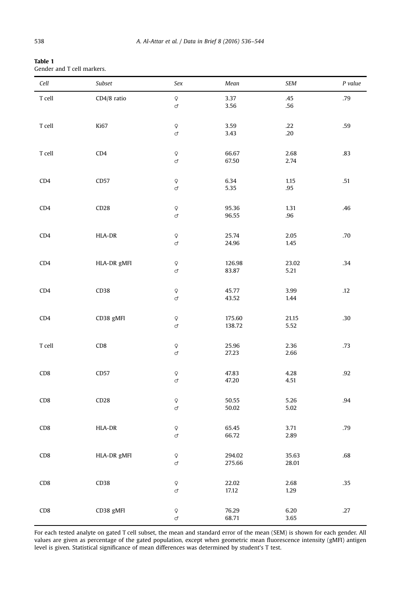<span id="page-4-0"></span>

| Table 1                    |  |
|----------------------------|--|
| Gender and T cell markers. |  |

| Cell                                   | Subset      | Sex                                      | Mean             | <b>SEM</b>     | P value |
|----------------------------------------|-------------|------------------------------------------|------------------|----------------|---------|
| $\footnotesize\relax{\texttt{T}}$ cell | CD4/8 ratio | $\hbox{\large\ensuremath{\varphi}}$<br>ď | 3.37<br>3.56     | .45<br>.56     | .79     |
| $\ensuremath{\mathsf{T}}$ cell         | Ki67        | $\hbox{$\mathsf{Q}$}$<br>ď               | 3.59<br>3.43     | .22<br>.20     | .59     |
| T cell                                 | CD4         | $\hbox{\large\ensuremath{\varphi}}$<br>ď | 66.67<br>67.50   | 2.68<br>2.74   | .83     |
| CD4                                    | CD57        | $\hbox{$\mathsf{Q}$}$<br>ď               | 6.34<br>5.35     | 1.15<br>.95    | .51     |
| CD4                                    | CD28        | $\hbox{$\mathsf{Q}$}$<br>ď               | 95.36<br>96.55   | 1.31<br>.96    | .46     |
| CD4                                    | HLA-DR      | $\hbox{$\mathsf{Q}$}$<br>ď               | 25.74<br>24.96   | 2.05<br>1.45   | .70     |
| CD4                                    | HLA-DR gMFI | $\hbox{$\mathsf{Q}$}$<br>ď               | 126.98<br>83.87  | 23.02<br>5.21  | .34     |
| CD4                                    | CD38        | $\hbox{$\mathsf{Q}$}$<br>ď               | 45.77<br>43.52   | 3.99<br>1.44   | .12     |
| CD4                                    | CD38 gMFI   | $\hbox{$\mathsf{Q}$}$<br>ď               | 175.60<br>138.72 | 21.15<br>5.52  | .30     |
| T cell                                 | CD8         | $\hbox{$\mathsf{Q}$}$<br>ď               | 25.96<br>27.23   | 2.36<br>2.66   | .73     |
| CD <sub>8</sub>                        | CD57        | $\hbox{$\mathsf{Q}$}$<br>ď               | 47.83<br>47.20   | 4.28<br>4.51   | .92     |
| CD8                                    | CD28        | $\hbox{$\mathsf{Q}$}$<br>ď               | 50.55<br>50.02   | 5.26<br>5.02   | .94     |
| CD <sub>8</sub>                        | HLA-DR      | $\hbox{$\mathsf{Q}$}$<br>ď               | 65.45<br>66.72   | 3.71<br>2.89   | .79     |
| CD <sub>8</sub>                        | HLA-DR gMFI | $\hbox{$\mathsf{Q}$}$<br>ď               | 294.02<br>275.66 | 35.63<br>28.01 | .68     |
| CD <sub>8</sub>                        | CD38        | $\hbox{\large\ensuremath{\varphi}}$<br>ď | 22.02<br>17.12   | 2.68<br>1.29   | .35     |
| CD <sub>8</sub>                        | CD38 gMFI   | $\hbox{$\mathsf{Q}$}$<br>ď               | 76.29<br>68.71   | 6.20<br>3.65   | .27     |

For each tested analyte on gated T cell subset, the mean and standard error of the mean (SEM) is shown for each gender. All values are given as percentage of the gated population, except when geometric mean fluorescence intensity (gMFI) antigen level is given. Statistical significance of mean differences was determined by student's T test.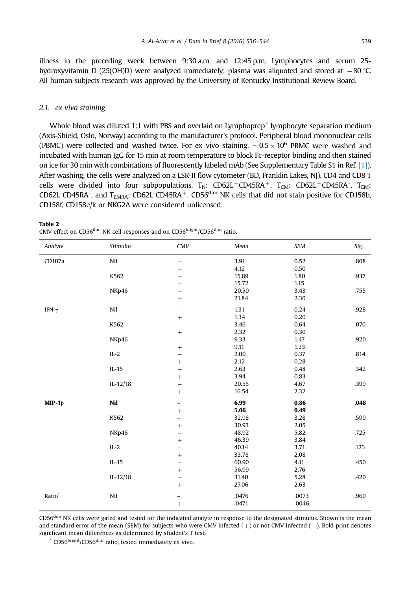<span id="page-5-0"></span>illness in the preceding week between 9:30 a.m. and 12:45 p.m. Lymphocytes and serum 25 hydroxyvitamin D (25(OH)D) were analyzed immediately; plasma was aliquoted and stored at  $-80$  °C. All human subjects research was approved by the University of Kentucky Institutional Review Board.

#### 2.1. ex vivo staining

Table 2

Whole blood was diluted 1:1 with PBS and overlaid on Lymphoprep $^{\ast}$  lymphocyte separation medium (Axis-Shield, Oslo, Norway) according to the manufacturer's protocol. Peripheral blood mononuclear cells (PBMC) were collected and washed twice. For ex vivo staining,  $\sim 0.5 \times 10^6$  PBMC were washed and incubated with human IgG for 15 min at room temperature to block Fc-receptor binding and then stained on ice for 30 min with combinations of fluorescently labeled mAb (See Supplementary Table S1 in Ref. [\[1\]](#page-10-0)). After washing, the cells were analyzed on a LSR-II flow cytometer (BD, Franklin Lakes, NJ). CD4 and CD8 T cells were divided into four subpopulations,  $T_N$ : CD62L<sup>+</sup>CD45RA<sup>+</sup>,  $T_{CM}$ : CD62L<sup>+</sup>CD45RA<sup>-</sup>,  $T_{EM}$ : CD62L<sup>-</sup>CD45RA<sup>-</sup>, and T<sub>EMRA</sub>: CD62L<sup>-</sup>CD45RA<sup>+</sup>. CD56<sup>dim</sup> NK cells that did not stain positive for CD158b, CD158f, CD158e/k or NKG2A were considered unlicensed.

| CMV effect on CD56 $\text{dim}$ NK cell responses and on CD56 $\text{bright}/\text{CD56}^{\text{dim}}$ ratio. |  |
|---------------------------------------------------------------------------------------------------------------|--|
|                                                                                                               |  |

| CD107a<br>Nil<br>0.52<br>3.91<br>$\qquad \qquad$<br>4.12<br>0.50<br>$+$<br>K562<br>15.89<br>1.80<br>$\qquad \qquad -$<br>15.72<br>1.15<br>$^{+}$<br>NKp46<br>20.50<br>3.43<br>$\overline{\phantom{0}}$<br>21.84<br>2.30<br>Nil<br>1.31<br>0.24<br>IFN- $\gamma$<br>$\qquad \qquad -$<br>1.34<br>0.20<br>K562<br>3.46<br>0.64<br>$\qquad \qquad -$<br>2.32<br>0.30<br>$+$<br>9.33<br>NKp46<br>1.47<br>$\overline{\phantom{0}}$<br>9.11<br>1.23<br>$+$<br>$IL-2$<br>2.00<br>0.37<br>$\overline{\phantom{0}}$<br>2.12<br>0.28<br>$+$ | Analyte | <b>Stimulus</b> | <b>CMV</b> | Mean | <b>SEM</b> | Sig. |
|-----------------------------------------------------------------------------------------------------------------------------------------------------------------------------------------------------------------------------------------------------------------------------------------------------------------------------------------------------------------------------------------------------------------------------------------------------------------------------------------------------------------------------------|---------|-----------------|------------|------|------------|------|
|                                                                                                                                                                                                                                                                                                                                                                                                                                                                                                                                   |         |                 |            |      |            | .808 |
|                                                                                                                                                                                                                                                                                                                                                                                                                                                                                                                                   |         |                 |            |      |            |      |
|                                                                                                                                                                                                                                                                                                                                                                                                                                                                                                                                   |         |                 |            |      |            | .937 |
|                                                                                                                                                                                                                                                                                                                                                                                                                                                                                                                                   |         |                 |            |      |            |      |
|                                                                                                                                                                                                                                                                                                                                                                                                                                                                                                                                   |         |                 |            |      |            | .755 |
|                                                                                                                                                                                                                                                                                                                                                                                                                                                                                                                                   |         |                 |            |      |            |      |
|                                                                                                                                                                                                                                                                                                                                                                                                                                                                                                                                   |         |                 |            |      |            | .928 |
|                                                                                                                                                                                                                                                                                                                                                                                                                                                                                                                                   |         |                 |            |      |            |      |
|                                                                                                                                                                                                                                                                                                                                                                                                                                                                                                                                   |         |                 |            |      |            | .070 |
|                                                                                                                                                                                                                                                                                                                                                                                                                                                                                                                                   |         |                 |            |      |            |      |
|                                                                                                                                                                                                                                                                                                                                                                                                                                                                                                                                   |         |                 |            |      |            | .920 |
|                                                                                                                                                                                                                                                                                                                                                                                                                                                                                                                                   |         |                 |            |      |            |      |
|                                                                                                                                                                                                                                                                                                                                                                                                                                                                                                                                   |         |                 |            |      |            | .814 |
|                                                                                                                                                                                                                                                                                                                                                                                                                                                                                                                                   |         |                 |            |      |            |      |
| 2.63<br>$IL-15$<br>0.48<br>$\qquad \qquad -$                                                                                                                                                                                                                                                                                                                                                                                                                                                                                      |         |                 |            |      |            | .342 |
| 3.94<br>0.83<br>$+$                                                                                                                                                                                                                                                                                                                                                                                                                                                                                                               |         |                 |            |      |            |      |
| 4.67<br>$IL-12/18$<br>20.55<br>$\qquad \qquad -$                                                                                                                                                                                                                                                                                                                                                                                                                                                                                  |         |                 |            |      |            | .399 |
| 16.54<br>2.32                                                                                                                                                                                                                                                                                                                                                                                                                                                                                                                     |         |                 |            |      |            |      |
| Nil<br>6.99<br>0.86<br>MIP-1 $\beta$<br>-                                                                                                                                                                                                                                                                                                                                                                                                                                                                                         |         |                 |            |      |            | .048 |
| 5.06<br>0.49<br>$^{+}$                                                                                                                                                                                                                                                                                                                                                                                                                                                                                                            |         |                 |            |      |            |      |
| K562<br>32.98<br>3.28<br>$\qquad \qquad -$                                                                                                                                                                                                                                                                                                                                                                                                                                                                                        |         |                 |            |      |            | .599 |
| 30.93<br>2.05<br>$^{+}$                                                                                                                                                                                                                                                                                                                                                                                                                                                                                                           |         |                 |            |      |            |      |
| 5.82<br>NKp46<br>48.92<br>$\qquad \qquad -$                                                                                                                                                                                                                                                                                                                                                                                                                                                                                       |         |                 |            |      |            | .725 |
| 46.39<br>3.84<br>$+$                                                                                                                                                                                                                                                                                                                                                                                                                                                                                                              |         |                 |            |      |            |      |
| $IL-2$<br>40.14<br>3.71<br>$\qquad \qquad -$                                                                                                                                                                                                                                                                                                                                                                                                                                                                                      |         |                 |            |      |            | .123 |
| 33.78<br>2.08<br>$\qquad \qquad +$                                                                                                                                                                                                                                                                                                                                                                                                                                                                                                |         |                 |            |      |            |      |
| $IL-15$<br>60.90<br>4.11<br>$\qquad \qquad -$                                                                                                                                                                                                                                                                                                                                                                                                                                                                                     |         |                 |            |      |            | .450 |
| 2.76<br>56.99<br>$+$                                                                                                                                                                                                                                                                                                                                                                                                                                                                                                              |         |                 |            |      |            |      |
| $IL-12/18$<br>5.28<br>31.40<br>$\qquad \qquad -$                                                                                                                                                                                                                                                                                                                                                                                                                                                                                  |         |                 |            |      |            | .420 |
| 27.06<br>2.63<br>$+$                                                                                                                                                                                                                                                                                                                                                                                                                                                                                                              |         |                 |            |      |            |      |
| Ratio <sup>®</sup><br>Nil<br>.0073<br>.0476<br>$\overline{\phantom{0}}$                                                                                                                                                                                                                                                                                                                                                                                                                                                           |         |                 |            |      |            | .960 |
| .0471<br>.0046                                                                                                                                                                                                                                                                                                                                                                                                                                                                                                                    |         |                 |            |      |            |      |

CD56dim NK cells were gated and tested for the indicated analyte in response to the designated stimulus. Shown is the mean and standard error of the mean (SEM) for subjects who were CMV infected  $(+)$  or not CMV infected  $(-)$ . Bold print denotes significant mean differences as determined by student's T test.

 $*$  CD56 $\frac{bright}{CD56}$ dim ratio, tested immediately ex vivo.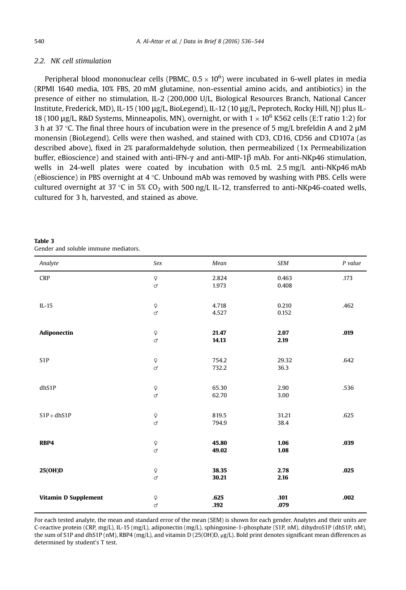#### <span id="page-6-0"></span>2.2. NK cell stimulation

Peripheral blood mononuclear cells (PBMC,  $0.5 \times 10^6$ ) were incubated in 6-well plates in media (RPMI 1640 media, 10% FBS, 20 mM glutamine, non-essential amino acids, and antibiotics) in the presence of either no stimulation, IL-2 (200,000 U/L, Biological Resources Branch, National Cancer Institute, Frederick, MD), IL-15 (100 μg/L, BioLegend), IL-12 (10 μg/L, Peprotech, Rocky Hill, NJ) plus IL-18 (100 μg/L, R&D Systems, Minneapolis, MN), overnight, or with  $1 \times 10^6$  K562 cells (E:T ratio 1:2) for 3 h at 37 °C. The final three hours of incubation were in the presence of 5 mg/L brefeldin A and 2 μM monensin (BioLegend). Cells were then washed, and stained with CD3, CD16, CD56 and CD107a (as described above), fixed in 2% paraformaldehyde solution, then permeabilized (1x Permeabilization buffer, eBioscience) and stained with anti-IFN-γ and anti-MIP-1β mAb. For anti-NKp46 stimulation, wells in 24-well plates were coated by incubation with 0.5 mL 2.5 mg/L anti-NKp46 mAb (eBioscience) in PBS overnight at  $4 \degree C$ . Unbound mAb was removed by washing with PBS. Cells were cultured overnight at 37 °C in 5% CO<sub>2</sub> with 500 ng/L IL-12, transferred to anti-NKp46-coated wells, cultured for 3 h, harvested, and stained as above.

| Analyte              | Sex                                             | Mean           | <b>SEM</b>     | P value |
|----------------------|-------------------------------------------------|----------------|----------------|---------|
| <b>CRP</b>           | $\mathsf{Q}$<br>ď                               | 2.824<br>1.973 | 0.463<br>0.408 | .173    |
| $IL-15$              | $\hbox{\large\ensuremath{\varphi}}$<br>ď        | 4.718<br>4.527 | 0.210<br>0.152 | .462    |
| Adiponectin          | $\hbox{\large\ensuremath{\varphi}}$<br>ď        | 21.47<br>14.13 | 2.07<br>2.19   | .019    |
| S <sub>1</sub> P     | $\hbox{\large\ensuremath{\varphi}}$<br>ď        | 754.2<br>732.2 | 29.32<br>36.3  | .642    |
| dhS1P                | $\hbox{\large\ensuremath{\varphi}}$<br>$\sigma$ | 65.30<br>62.70 | 2.90<br>3.00   | .536    |
| $S1P+dhS1P$          | $\mathsf{Q}$<br>ď                               | 819.5<br>794.9 | 31.21<br>38.4  | .625    |
| RBP4                 | $\hbox{\large\ensuremath{\varphi}}$<br>ď        | 45.80<br>49.02 | 1.06<br>1.08   | .039    |
| 25(OH)D              | $\boldsymbol{\mathsf{Q}}$<br>ď                  | 38.35<br>30.21 | 2.78<br>2.16   | .025    |
| Vitamin D Supplement | $\hbox{\large\ensuremath{\varphi}}$<br>ď        | .625<br>.192   | .101<br>.079   | .002    |

| Table 3                              |  |  |
|--------------------------------------|--|--|
| Gender and soluble immune mediators. |  |  |

For each tested analyte, the mean and standard error of the mean (SEM) is shown for each gender. Analytes and their units are C-reactive protein (CRP, mg/L), IL-15 (mg/L), adiponectin (mg/L), sphingosine-1-phosphate (S1P, nM), dihydroS1P (dhS1P, nM), the sum of S1P and dhS1P (nM), RBP4 (mg/L), and vitamin D (25(OH)D, μg/L). Bold print denotes significant mean differences as determined by student's T test.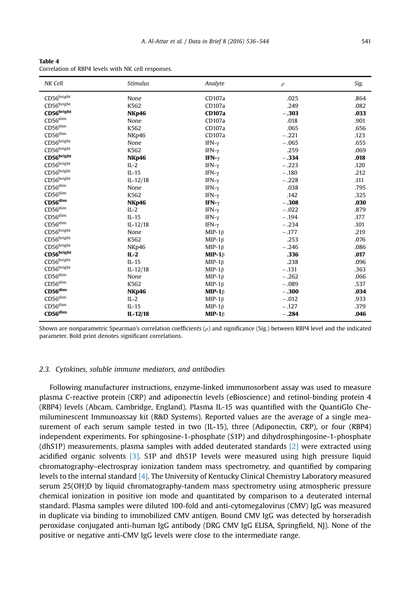<span id="page-7-0"></span>

| Table 4                                            |  |  |  |  |
|----------------------------------------------------|--|--|--|--|
| Correlation of RBP4 levels with NK cell responses. |  |  |  |  |

| NK Cell                    | <b>Stimulus</b> | Analyte       | $\rho$  | Sig. |
|----------------------------|-----------------|---------------|---------|------|
| CD56bright                 | None            | CD107a        | .025    | .864 |
| CD56 <sup>bright</sup>     | K562            | CD107a        | .249    | .082 |
| CD56bright                 | <b>NKp46</b>    | <b>CD107a</b> | $-.303$ | .033 |
| $CD56^{\text{dim}}$        | None            | CD107a        | .018    | .901 |
| $CD56^{\text{dim}}$        | K562            | CD107a        | .065    | .656 |
| $CD56$ dim                 | NKp46           | CD107a        | $-.221$ | .123 |
| CD56bright                 | None            | IFN- $\gamma$ | $-.065$ | .655 |
| CD56bright                 | K562            | IFN- $\gamma$ | .259    | .069 |
| $CD56^{\rm bright}$        | <b>NKp46</b>    | IFN- $\gamma$ | $-.334$ | .018 |
| $CD56^{bright}$            | $IL-2$          | IFN- $\gamma$ | $-.223$ | .120 |
| CD56bright                 | $IL-15$         | IFN- $\gamma$ | $-.180$ | .212 |
| $CD56^{bright}$            | $IL-12/18$      | IFN- $\gamma$ | $-.228$ | .111 |
| $CD56$ dim                 | None            | IFN- $\gamma$ | .038    | .795 |
| $CD56$ dim                 | K562            | IFN- $\gamma$ | .142    | .325 |
| $CD56$ dim                 | <b>NKp46</b>    | IFN- $\gamma$ | $-.308$ | .030 |
| CD56 <sup>dim</sup>        | $IL-2$          | IFN- $\gamma$ | $-.022$ | .879 |
| $\text{CD56}^{\text{dim}}$ | $IL-15$         | IFN- $\gamma$ | $-.194$ | .177 |
| $\text{CD56}^{\text{dim}}$ | $IL - 12/18$    | IFN- $\gamma$ | $-.234$ | .101 |
| CD56bright                 | None            | $MIP-1\beta$  | $-.177$ | .219 |
| CD56bright                 | K562            | MIP-1 $\beta$ | .253    | .076 |
| CD56 <sup>bright</sup>     | NKp46           | MIP-1 $\beta$ | $-.246$ | .086 |
| CD56bright                 | $IL-2$          | MIP-1 $\beta$ | .336    | .017 |
| CD56 <sup>bright</sup>     | $IL-15$         | MIP-1 $\beta$ | .238    | .096 |
| $CD56^{bright}$            | $IL-12/18$      | $MIP-1\beta$  | $-.131$ | .363 |
| $CD56^{\text{dim}}$        | None            | $MIP-1\beta$  | $-.262$ | .066 |
| CD56 <sup>dim</sup>        | K562            | $MIP-1\beta$  | $-.089$ | .537 |
| $CD56$ dim                 | <b>NKp46</b>    | MIP-1 $\beta$ | $-.300$ | .034 |
| CD56 <sup>dim</sup>        | $IL-2$          | $MIP-1\beta$  | $-.012$ | .933 |
| CD56 <sup>dim</sup>        | $IL-15$         | MIP-1 $\beta$ | $-.127$ | .379 |
| $CD56$ dim                 | $IL-12/18$      | MIP-1 $\beta$ | $-.284$ | .046 |

Shown are nonparametric Spearman's correlation coefficients  $(\rho)$  and significance (Sig.) between RBP4 level and the indicated parameter. Bold print denotes significant correlations.

#### 2.3. Cytokines, soluble immune mediators, and antibodies

Following manufacturer instructions, enzyme-linked immunosorbent assay was used to measure plasma C-reactive protein (CRP) and adiponectin levels (eBioscience) and retinol-binding protein 4 (RBP4) levels (Abcam, Cambridge, England). Plasma IL-15 was quantified with the QuantiGlo Chemiluminescent Immunoassay kit (R&D Systems). Reported values are the average of a single measurement of each serum sample tested in two (IL-15), three (Adiponectin, CRP), or four (RBP4) independent experiments. For sphingosine-1-phosphate (S1P) and dihydrosphingosine-1-phosphate (dhS1P) measurements, plasma samples with added deuterated standards [\[2\]](#page-10-0) were extracted using acidified organic solvents [\[3\]](#page-10-0). S1P and dhS1P 1evels were measured using high pressure liquid chromatography–electrospray ionization tandem mass spectrometry, and quantified by comparing levels to the internal standard [\[4\]](#page-10-0). The University of Kentucky Clinical Chemistry Laboratory measured serum 25(OH)D by liquid chromatography-tandem mass spectrometry using atmospheric pressure chemical ionization in positive ion mode and quantitated by comparison to a deuterated internal standard. Plasma samples were diluted 100-fold and anti-cytomegalovirus (CMV) IgG was measured in duplicate via binding to immobilized CMV antigen. Bound CMV IgG was detected by horseradish peroxidase conjugated anti-human IgG antibody (DRG CMV IgG ELISA, Springfield, NJ). None of the positive or negative anti-CMV IgG levels were close to the intermediate range.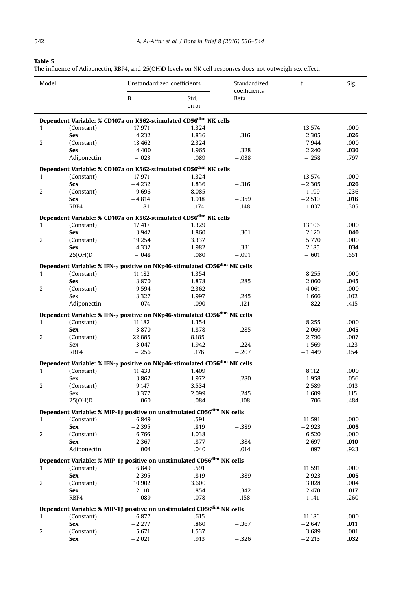#### <span id="page-8-0"></span>Table 5

The influence of Adiponectin, RBP4, and 25(OH)D levels on NK cell responses does not outweigh sex effect.

| Model        |                                                                                                                   | Unstandardized coefficients |               | Standardized<br>coefficients | t        | Sig.         |
|--------------|-------------------------------------------------------------------------------------------------------------------|-----------------------------|---------------|------------------------------|----------|--------------|
|              |                                                                                                                   | B                           | Std.<br>error | Beta                         |          |              |
|              | Dependent Variable: % CD107a on K562-stimulated CD56 <sup>dim</sup> NK cells                                      |                             |               |                              |          |              |
| $\mathbf{1}$ | (Constant)                                                                                                        | 17.971                      | 1.324         |                              | 13.574   | .000         |
|              | <b>Sex</b>                                                                                                        | $-4.232$                    | 1.836         | $-.316$                      | $-2.305$ | .026         |
| 2            | (Constant)                                                                                                        | 18.462                      | 2.324         |                              | 7.944    | .000         |
|              | <b>Sex</b>                                                                                                        | $-4,400$                    | 1.965         | $-.328$                      | $-2.240$ | .030         |
|              | Adiponectin                                                                                                       | $-.023$                     | .089          | $-.038$                      | $-.258$  | .797         |
|              | Dependent Variable: % CD107a on K562-stimulated CD56 <sup>dim</sup> NK cells                                      |                             |               |                              |          |              |
| $\mathbf{1}$ | (Constant)                                                                                                        | 17.971                      | 1.324         |                              | 13.574   | .000         |
|              | <b>Sex</b>                                                                                                        | $-4.232$                    | 1.836         | $-.316$                      | $-2.305$ | .026         |
| 2            | (Constant)                                                                                                        | 9.696                       | 8.085         |                              | 1.199    | .236         |
|              | <b>Sex</b>                                                                                                        | $-4.814$                    | 1.918         | $-.359$                      | $-2.510$ | .016         |
|              | RBP4                                                                                                              | .181                        | .174          | .148                         | 1.037    | .305         |
|              |                                                                                                                   |                             |               |                              |          |              |
|              | Dependent Variable: % CD107a on K562-stimulated CD56 <sup>dim</sup> NK cells                                      |                             |               |                              |          |              |
| 1            | (Constant)                                                                                                        | 17.417                      | 1.329         |                              | 13.106   | .000         |
|              | <b>Sex</b>                                                                                                        | $-3.942$                    | 1.860         | $-.301$                      | $-2.120$ | .040         |
| 2            | (Constant)                                                                                                        | 19.254                      | 3.337         |                              | 5.770    | .000         |
|              | <b>Sex</b>                                                                                                        | $-4.332$                    | 1.982         | $-.331$                      | $-2.185$ | .034         |
|              | 25(OH)D                                                                                                           | $-.048$                     | .080          | $-.091$                      | $-.601$  | .551         |
|              | Dependent Variable: % IFN- $\gamma$ positive on NKp46-stimulated CD56 <sup>dim</sup> NK cells                     |                             |               |                              |          |              |
| $\mathbf{1}$ | (Constant)                                                                                                        | 11.182                      | 1.354         |                              | 8.255    | .000         |
|              | <b>Sex</b>                                                                                                        | $-3.870$                    | 1.878         | $-.285$                      | $-2.060$ | .045         |
| 2            | (Constant)                                                                                                        | 9.594                       | 2.362         |                              | 4.061    | .000         |
|              | Sex                                                                                                               | $-3.327$                    | 1.997         | $-.245$                      | $-1.666$ | .102         |
|              | Adiponectin                                                                                                       | .074                        | .090          | .121                         | .822     | .415         |
|              | Dependent Variable: % IFN-y positive on NKp46-stimulated CD56 <sup>dim</sup> NK cells                             |                             |               |                              |          |              |
| $\mathbf{1}$ | (Constant)                                                                                                        | 11.182                      | 1.354         |                              | 8.255    | .000         |
|              | <b>Sex</b>                                                                                                        | $-3.870$                    | 1.878         | $-.285$                      | $-2.060$ | .045         |
| 2            | (Constant)                                                                                                        | 22.885                      | 8.185         |                              | 2.796    | .007         |
|              | Sex                                                                                                               | $-3.047$                    | 1.942         | $-.224$                      | $-1.569$ | .123         |
|              | RBP4                                                                                                              | $-.256$                     | .176          | $-.207$                      | $-1.449$ | .154         |
|              |                                                                                                                   |                             |               |                              |          |              |
|              | Dependent Variable: % IFN- $\gamma$ positive on NKp46-stimulated CD56 <sup>dim</sup> NK cells                     |                             |               |                              |          |              |
| $\mathbf{1}$ | (Constant)                                                                                                        | 11.433                      | 1.409         |                              | 8.112    | .000         |
|              | <b>Sex</b>                                                                                                        | $-3.862$                    | 1.972         | $-.280$                      | $-1.958$ | .056         |
| 2            | (Constant)                                                                                                        | 9.147                       | 3.534         |                              | 2.589    | .013         |
|              | Sex                                                                                                               | $-3.377$                    | 2.099         | $-.245$                      | $-1.609$ | .115         |
|              | 25(OH)D                                                                                                           | .060                        | .084          | .108                         | .706     | .484         |
|              | Dependent Variable: % MIP-1 <sup><math>\beta</math></sup> positive on unstimulated CD56 <sup>dim</sup> NK cells   |                             |               |                              |          |              |
| $\mathbf{1}$ | (Constant)                                                                                                        | 6.849                       | .591          |                              | 11.591   | .000         |
|              | <b>Sex</b>                                                                                                        | $-2.395$                    | .819          | $-.389$                      | $-2.923$ | .005         |
| 2            | (Constant)                                                                                                        | 6.766                       | 1.038         |                              | 6.520    | .000         |
|              | <b>Sex</b>                                                                                                        | $-2.367$                    | .877          | $-.384$                      | $-2.697$ | .010         |
|              | Adiponectin                                                                                                       | .004                        | .040          | .014                         | .097     | .923         |
|              | Dependent Variable: % MIP-1 <sup>β</sup> positive on unstimulated CD56 <sup>dim</sup> NK cells                    |                             |               |                              |          |              |
| $\mathbf{1}$ | (Constant)                                                                                                        | 6.849                       | .591          |                              | 11.591   | .000         |
|              | <b>Sex</b>                                                                                                        | $-2.395$                    |               | $-.389$                      |          | .005         |
|              | (Constant)                                                                                                        |                             | .819          |                              | $-2.923$ | .004         |
| 2            |                                                                                                                   | 10.902                      | 3.600         |                              | 3.028    |              |
|              | Sex<br>RBP4                                                                                                       | $-2.110$<br>$-.089$         | .854<br>.078  | $-.342$<br>$-.158$           | $-2.470$ | .017<br>.260 |
|              |                                                                                                                   |                             |               |                              | $-1.141$ |              |
|              | Dependent Variable: % MIP-1 <sup><math>\upbeta</math></sup> positive on unstimulated CD56 <sup>dim</sup> NK cells |                             |               |                              |          |              |
| $\mathbf{1}$ | (Constant)                                                                                                        | 6.877                       | .615          |                              | 11.186   | .000         |
|              | <b>Sex</b>                                                                                                        | $-2.277$                    | .860          | $-.367$                      | $-2.647$ | .011         |
| 2            | (Constant)                                                                                                        | 5.671                       | 1.537         |                              | 3.689    | .001         |
|              | <b>Sex</b>                                                                                                        | $-2.021$                    | .913          | $-.326$                      | $-2.213$ | .032         |
|              |                                                                                                                   |                             |               |                              |          |              |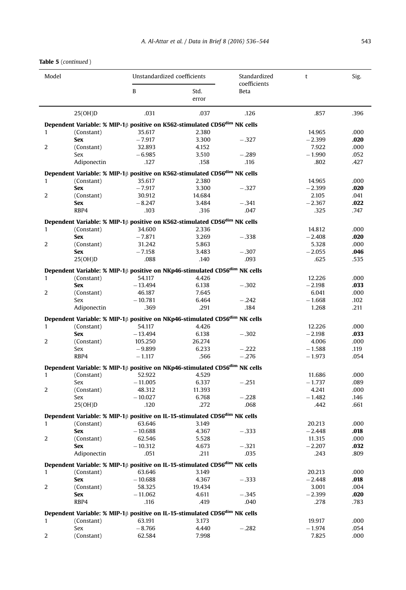Table 5 (continued )

| Model        |                                                                                                                       | Unstandardized coefficients |        | Standardized         | t        | Sig. |
|--------------|-----------------------------------------------------------------------------------------------------------------------|-----------------------------|--------|----------------------|----------|------|
|              |                                                                                                                       | B                           | Std.   | coefficients<br>Beta |          |      |
|              |                                                                                                                       |                             | error  |                      |          |      |
|              |                                                                                                                       |                             |        |                      |          |      |
|              | 25(OH)D                                                                                                               | .031                        | .037   | .126                 | .857     | .396 |
|              | Dependent Variable: % MIP-1 <sup><math>\beta</math></sup> positive on K562-stimulated CD56 <sup>dim</sup> NK cells    |                             |        |                      |          |      |
| $\mathbf{1}$ | (Constant)                                                                                                            | 35.617                      | 2.380  |                      | 14.965   | .000 |
|              | <b>Sex</b>                                                                                                            | $-7.917$                    | 3.300  | $-.327$              | $-2.399$ | .020 |
| 2            | (Constant)                                                                                                            | 32.893                      | 4.152  |                      | 7.922    | .000 |
|              | Sex                                                                                                                   | $-6.985$                    | 3.510  | $-.289$              | $-1.990$ | .052 |
|              | Adiponectin                                                                                                           | .127                        | .158   | .116                 | .802     | .427 |
|              | Dependent Variable: $\%$ MIP-1 $\upbeta$ positive on K562-stimulated CD56 <sup>dim</sup> NK cells                     |                             |        |                      |          |      |
| $\mathbf{1}$ | (Constant)                                                                                                            | 35.617                      | 2.380  |                      | 14.965   | .000 |
|              | <b>Sex</b>                                                                                                            | $-7.917$                    | 3.300  | $-.327$              | $-2.399$ | .020 |
| 2            | (Constant)                                                                                                            | 30.912                      | 14.684 |                      | 2.105    | .041 |
|              | <b>Sex</b>                                                                                                            | $-8.247$                    | 3.484  | $-.341$              | $-2.367$ | .022 |
|              | RBP4                                                                                                                  | .103                        | .316   | .047                 | .325     | .747 |
|              | Dependent Variable: % MIP-1 $\beta$ positive on K562-stimulated CD56 <sup>dim</sup> NK cells                          |                             |        |                      |          |      |
| $\mathbf{1}$ | (Constant)                                                                                                            | 34.600                      | 2.336  |                      | 14.812   | .000 |
|              | <b>Sex</b>                                                                                                            | $-7.871$                    | 3.269  | $-.338$              | $-2.408$ | .020 |
| 2            | (Constant)                                                                                                            | 31.242                      | 5.863  |                      | 5.328    | .000 |
|              | <b>Sex</b>                                                                                                            | $-7.158$                    | 3.483  | $-.307$              | $-2.055$ | .046 |
|              | 25(OH)D                                                                                                               | .088                        | .140   | .093                 | .625     | .535 |
|              | Dependent Variable: % MIP-1 <sup><math>\beta</math></sup> positive on NKp46-stimulated CD56 <sup>dim</sup> NK cells   |                             |        |                      |          |      |
| $\mathbf{1}$ | (Constant)                                                                                                            | 54.117                      | 4.426  |                      | 12,226   | .000 |
|              | <b>Sex</b>                                                                                                            | $-13.494$                   | 6.138  | $-.302$              | $-2.198$ | .033 |
| 2            | (Constant)                                                                                                            | 46.187                      | 7.645  |                      | 6.041    | .000 |
|              | Sex                                                                                                                   | $-10.781$                   | 6.464  | $-.242$              | $-1.668$ | .102 |
|              | Adiponectin                                                                                                           | .369                        | .291   | .184                 | 1.268    | .211 |
|              | Dependent Variable: % MIP-1β positive on NKp46-stimulated CD56 <sup>dim</sup> NK cells                                |                             |        |                      |          |      |
| $\mathbf{1}$ | (Constant)                                                                                                            | 54.117                      | 4.426  |                      | 12.226   | .000 |
|              | <b>Sex</b>                                                                                                            | $-13.494$                   | 6.138  | $-.302$              | $-2.198$ | .033 |
| 2            | (Constant)                                                                                                            | 105.250                     | 26.274 |                      | 4.006    | .000 |
|              | Sex                                                                                                                   | $-9.899$                    | 6.233  | $-.222$              | $-1.588$ | .119 |
|              | RBP4                                                                                                                  | $-1,117$                    | .566   | $-.276$              | $-1.973$ | .054 |
|              | Dependent Variable: % MIP-1 <sup><math>\upbeta</math></sup> positive on NKp46-stimulated CD56 <sup>dim</sup> NK cells |                             |        |                      |          |      |
| $\mathbf{1}$ | (Constant)                                                                                                            | 52.922                      | 4.529  |                      | 11.686   | .000 |
|              | Sex                                                                                                                   | $-11.005$                   | 6.337  | $-.251$              | $-1,737$ | .089 |
| 2            | (Constant)                                                                                                            | 48.312                      | 11.393 |                      | 4.241    | .000 |
|              | Sex                                                                                                                   | $-10.027$                   | 6.768  | $-.228$              | $-1.482$ | .146 |
|              | 25(OH)D                                                                                                               | .120                        | .272   | .068                 | .442     | .661 |
|              | Dependent Variable: % MIP-1 <sup><math>\beta</math></sup> positive on IL-15-stimulated CD56 <sup>dim</sup> NK cells   |                             |        |                      |          |      |
| $\mathbf{1}$ | (Constant)                                                                                                            | 63.646                      | 3.149  |                      | 20.213   | .000 |
|              | <b>Sex</b>                                                                                                            | $-10.688$                   | 4.367  | $-.333$              | $-2.448$ | .018 |
| 2            | (Constant)                                                                                                            | 62.546                      | 5.528  |                      | 11.315   | .000 |
|              | <b>Sex</b>                                                                                                            | $-10.312$                   | 4.673  | $-.321$              | $-2.207$ | .032 |
|              | Adiponectin                                                                                                           | .051                        | .211   | .035                 | .243     | .809 |
|              | Dependent Variable: % MIP-1 <sup>β</sup> positive on IL-15-stimulated CD56 <sup>dim</sup> NK cells                    |                             |        |                      |          |      |
| $\mathbf{1}$ | (Constant)                                                                                                            | 63.646                      | 3.149  |                      | 20.213   | .000 |
|              | Sex                                                                                                                   | $-10.688$                   | 4.367  | $-.333$              | $-2.448$ | .018 |
| 2            | (Constant)                                                                                                            | 58.325                      | 19.434 |                      | 3.001    | .004 |
|              | Sex                                                                                                                   | $-11.062$                   | 4.611  | $-.345$              | $-2.399$ | .020 |
|              | RBP4                                                                                                                  | .116                        | .419   | .040                 | .278     | .783 |
|              | Dependent Variable: % MIP-1 <sup><math>\beta</math></sup> positive on IL-15-stimulated CD56 <sup>dim</sup> NK cells   |                             |        |                      |          |      |
| 1            | (Constant)                                                                                                            | 63.191                      | 3.173  |                      | 19.917   | .000 |
|              | Sex                                                                                                                   | $-8.766$                    | 4.440  | $-.282$              | $-1.974$ | .054 |
| 2            | (Constant)                                                                                                            | 62.584                      | 7.998  |                      | 7.825    | .000 |